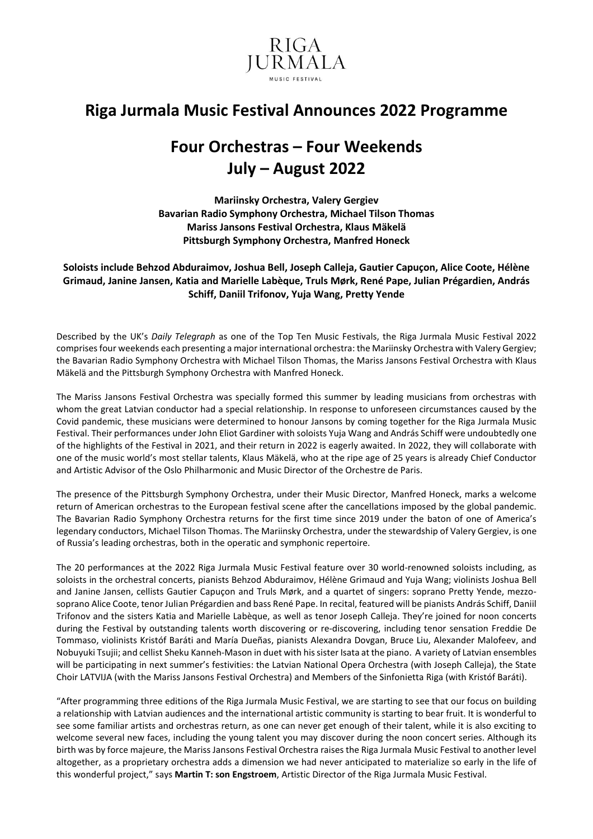

## **Riga Jurmala Music Festival Announces 2022 Programme**

# **Four Orchestras – Four Weekends July – August 2022**

**Mariinsky Orchestra, Valery Gergiev Bavarian Radio Symphony Orchestra, Michael Tilson Thomas Mariss Jansons Festival Orchestra, Klaus Mäkelä Pittsburgh Symphony Orchestra, Manfred Honeck**

**Soloists include Behzod Abduraimov, Joshua Bell, Joseph Calleja, Gautier Capuçon, Alice Coote, Hélène Grimaud, Janine Jansen, Katia and Marielle Labèque, Truls Mørk, René Pape, Julian Prégardien, András Schiff, Daniil Trifonov, Yuja Wang, Pretty Yende**

Described by the UK's *Daily Telegraph* as one of the Top Ten Music Festivals, the Riga Jurmala Music Festival 2022 comprisesfour weekends each presenting a major international orchestra: the Mariinsky Orchestra with Valery Gergiev; the Bavarian Radio Symphony Orchestra with Michael Tilson Thomas, the Mariss Jansons Festival Orchestra with Klaus Mäkelä and the Pittsburgh Symphony Orchestra with Manfred Honeck.

The Mariss Jansons Festival Orchestra was specially formed this summer by leading musicians from orchestras with whom the great Latvian conductor had a special relationship. In response to unforeseen circumstances caused by the Covid pandemic, these musicians were determined to honour Jansons by coming together for the Riga Jurmala Music Festival. Their performances under John Eliot Gardiner with soloists Yuja Wang and András Schiff were undoubtedly one of the highlights of the Festival in 2021, and their return in 2022 is eagerly awaited. In 2022, they will collaborate with one of the music world's most stellar talents, Klaus Mäkelä, who at the ripe age of 25 years is already Chief Conductor and Artistic Advisor of the Oslo Philharmonic and Music Director of the Orchestre de Paris.

The presence of the Pittsburgh Symphony Orchestra, under their Music Director, Manfred Honeck, marks a welcome return of American orchestras to the European festival scene after the cancellations imposed by the global pandemic. The Bavarian Radio Symphony Orchestra returns for the first time since 2019 under the baton of one of America's legendary conductors, Michael Tilson Thomas. The Mariinsky Orchestra, under the stewardship of Valery Gergiev, is one of Russia's leading orchestras, both in the operatic and symphonic repertoire.

The 20 performances at the 2022 Riga Jurmala Music Festival feature over 30 world-renowned soloists including, as soloists in the orchestral concerts, pianists Behzod Abduraimov, Hélène Grimaud and Yuja Wang; violinists Joshua Bell and Janine Jansen, cellists Gautier Capuçon and Truls Mørk, and a quartet of singers: soprano Pretty Yende, mezzosoprano Alice Coote, tenor Julian Prégardien and bass René Pape. In recital, featured will be pianists András Schiff, Daniil Trifonov and the sisters Katia and Marielle Labèque, as well as tenor Joseph Calleja. They're joined for noon concerts during the Festival by outstanding talents worth discovering or re-discovering, including tenor sensation Freddie De Tommaso, violinists Kristóf Baráti and María Dueñas, pianists Alexandra Dovgan, Bruce Liu, Alexander Malofeev, and Nobuyuki Tsujii; and cellist Sheku Kanneh-Mason in duet with hissister Isata at the piano. A variety of Latvian ensembles will be participating in next summer's festivities: the Latvian National Opera Orchestra (with Joseph Calleja), the State Choir LATVIJA (with the Mariss Jansons Festival Orchestra) and Members of the Sinfonietta Riga (with Kristóf Baráti).

"After programming three editions of the Riga Jurmala Music Festival, we are starting to see that our focus on building a relationship with Latvian audiences and the international artistic community is starting to bear fruit. It is wonderful to see some familiar artists and orchestras return, as one can never get enough of their talent, while it is also exciting to welcome several new faces, including the young talent you may discover during the noon concert series. Although its birth was by force majeure, the Mariss Jansons Festival Orchestra raises the Riga Jurmala Music Festival to another level altogether, as a proprietary orchestra adds a dimension we had never anticipated to materialize so early in the life of this wonderful project," says **Martin T: son Engstroem**, Artistic Director of the Riga Jurmala Music Festival.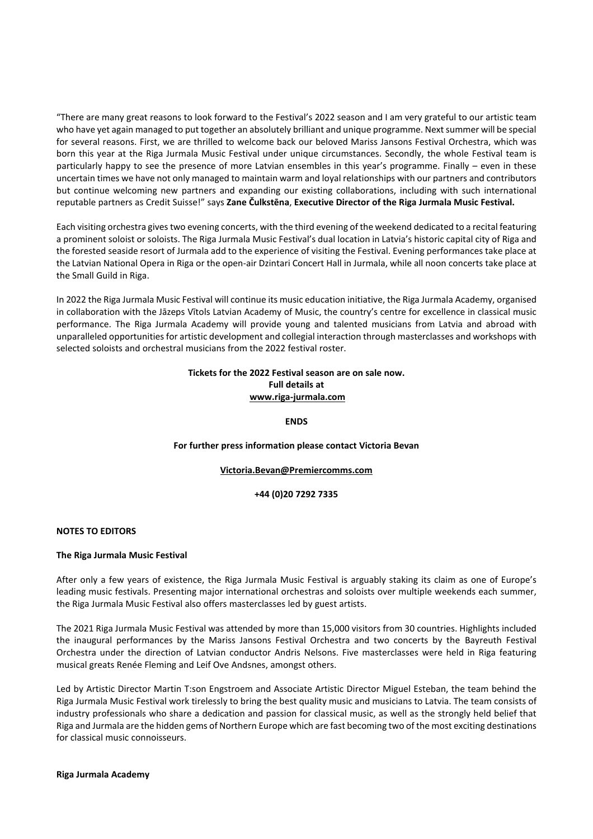"There are many great reasons to look forward to the Festival's 2022 season and I am very grateful to our artistic team who have yet again managed to put together an absolutely brilliant and unique programme. Nextsummer will be special for several reasons. First, we are thrilled to welcome back our beloved Mariss Jansons Festival Orchestra, which was born this year at the Riga Jurmala Music Festival under unique circumstances. Secondly, the whole Festival team is particularly happy to see the presence of more Latvian ensembles in this year's programme. Finally – even in these uncertain times we have not only managed to maintain warm and loyal relationships with our partners and contributors but continue welcoming new partners and expanding our existing collaborations, including with such international reputable partners as Credit Suisse!" says **Zane Čulkstēna**, **Executive Director of the Riga Jurmala Music Festival.**

Each visiting orchestra givestwo evening concerts, with the third evening of the weekend dedicated to a recital featuring a prominent soloist or soloists. The Riga Jurmala Music Festival's dual location in Latvia's historic capital city of Riga and the forested seaside resort of Jurmala add to the experience of visiting the Festival. Evening performances take place at the Latvian National Opera in Riga or the open-air Dzintari Concert Hall in Jurmala, while all noon concerts take place at the Small Guild in Riga.

In 2022 the Riga Jurmala Music Festival will continue its music education initiative, the Riga Jurmala Academy, organised in collaboration with the Jāzeps Vītols Latvian Academy of Music, the country's centre for excellence in classical music performance. The Riga Jurmala Academy will provide young and talented musicians from Latvia and abroad with unparalleled opportunities for artistic development and collegial interaction through masterclasses and workshops with selected soloists and orchestral musicians from the 2022 festival roster.

## **Tickets for the 2022 Festival season are on sale now. Full details at [www.riga-jurmala.com](http://www.riga-jurmala.com/)**

**ENDS**

### **For further press information please contact Victoria Bevan**

### **[Victoria.Bevan@Premiercomms.com](mailto:Victoria.Bevan@Premiercomms.com)**

**+44 (0)20 7292 7335**

### **NOTES TO EDITORS**

#### **The Riga Jurmala Music Festival**

After only a few years of existence, the Riga Jurmala Music Festival is arguably staking its claim as one of Europe's leading music festivals. Presenting major international orchestras and soloists over multiple weekends each summer, the Riga Jurmala Music Festival also offers masterclasses led by guest artists.

The 2021 Riga Jurmala Music Festival was attended by more than 15,000 visitors from 30 countries. Highlights included the inaugural performances by the Mariss Jansons Festival Orchestra and two concerts by the Bayreuth Festival Orchestra under the direction of Latvian conductor Andris Nelsons. Five masterclasses were held in Riga featuring musical greats Renée Fleming and Leif Ove Andsnes, amongst others.

Led by Artistic Director Martin T:son Engstroem and Associate Artistic Director Miguel Esteban, the team behind the Riga Jurmala Music Festival work tirelessly to bring the best quality music and musicians to Latvia. The team consists of industry professionals who share a dedication and passion for classical music, as well as the strongly held belief that Riga and Jurmala are the hidden gems of Northern Europe which are fast becoming two of the most exciting destinations for classical music connoisseurs.

#### **Riga Jurmala Academy**